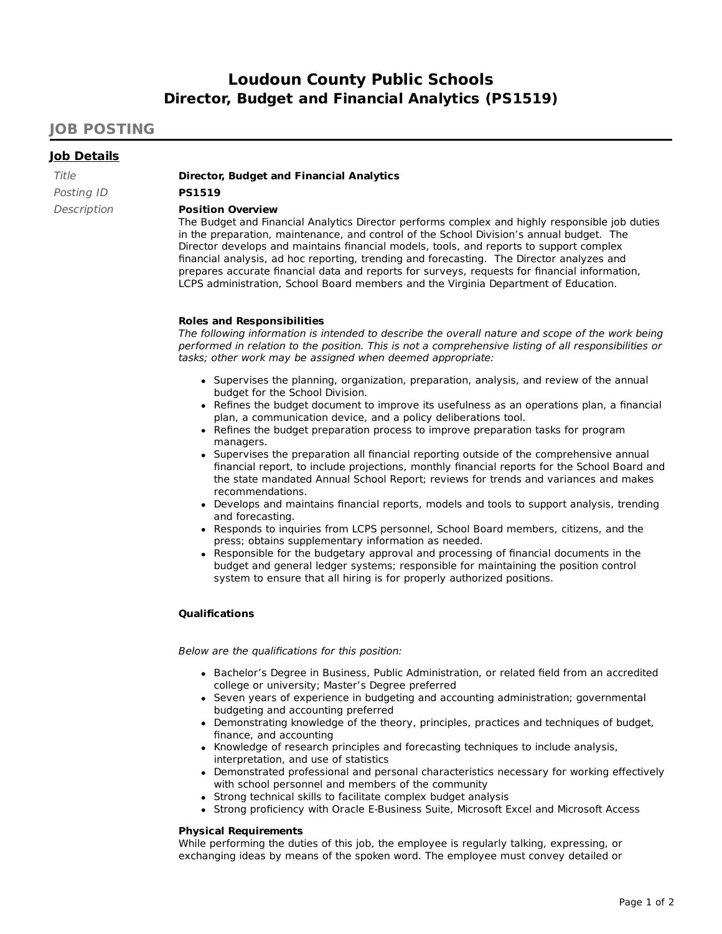# **Loudoun County Public Schools Director, Budget and Financial Analytics (PS1519)**

# **JOB POSTING**

# **Job Details**

| Title       |
|-------------|
| Posting ID  |
| Description |

**Director, Budget and Financial Analytics** Posting ID **PS1519**

#### **Position Overview**

The Budget and Financial Analytics Director performs complex and highly responsible job duties in the preparation, maintenance, and control of the School Division's annual budget. The Director develops and maintains financial models, tools, and reports to support complex financial analysis, ad hoc reporting, trending and forecasting. The Director analyzes and prepares accurate financial data and reports for surveys, requests for financial information, LCPS administration, School Board members and the Virginia Department of Education.

### **Roles and Responsibilities**

The following information is intended to describe the overall nature and scope of the work being performed in relation to the position. This is not a comprehensive listing of all responsibilities or tasks; other work may be assigned when deemed appropriate:

- Supervises the planning, organization, preparation, analysis, and review of the annual budget for the School Division.
- Refines the budget document to improve its usefulness as an operations plan, a financial plan, a communication device, and a policy deliberations tool.
- Refines the budget preparation process to improve preparation tasks for program managers.
- Supervises the preparation all financial reporting outside of the comprehensive annual financial report, to include projections, monthly financial reports for the School Board and the state mandated Annual School Report; reviews for trends and variances and makes recommendations.
- Develops and maintains financial reports, models and tools to support analysis, trending and forecasting.
- Responds to inquiries from LCPS personnel, School Board members, citizens, and the press; obtains supplementary information as needed.
- Responsible for the budgetary approval and processing of financial documents in the budget and general ledger systems; responsible for maintaining the position control system to ensure that all hiring is for properly authorized positions.

#### **Qualifications**

Below are the qualifications for this position:

- Bachelor's Degree in Business, Public Administration, or related field from an accredited college or university; Master's Degree preferred
- Seven years of experience in budgeting and accounting administration; governmental budgeting and accounting preferred
- Demonstrating knowledge of the theory, principles, practices and techniques of budget, finance, and accounting
- Knowledge of research principles and forecasting techniques to include analysis, interpretation, and use of statistics
- Demonstrated professional and personal characteristics necessary for working effectively with school personnel and members of the community
- Strong technical skills to facilitate complex budget analysis
- Strong proficiency with Oracle E-Business Suite, Microsoft Excel and Microsoft Access

#### **Physical Requirements**

While performing the duties of this job, the employee is regularly talking, expressing, or exchanging ideas by means of the spoken word. The employee must convey detailed or